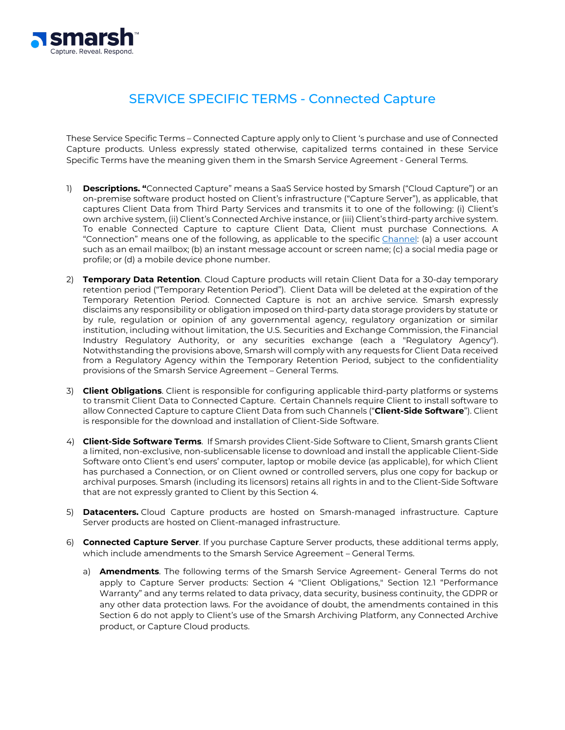

## SERVICE SPECIFIC TERMS - Connected Capture

These Service Specific Terms – Connected Capture apply only to Client 's purchase and use of Connected Capture products. Unless expressly stated otherwise, capitalized terms contained in these Service Specific Terms have the meaning given them in the Smarsh Service Agreement - General Terms.

- 1) **Descriptions. "**Connected Capture" means a SaaS Service hosted by Smarsh ("Cloud Capture") or an on-premise software product hosted on Client's infrastructure ("Capture Server"), as applicable, that captures Client Data from Third Party Services and transmits it to one of the following: (i) Client's own archive system, (ii) Client's Connected Archive instance, or (iii) Client's third-party archive system. To enable Connected Capture to capture Client Data, Client must purchase Connections. A "Connection" means one of the following, as applicable to the specific [Channel:](https://www.smarsh.com/products/connected-capture/all-supported-channels/) (a) a user account such as an email mailbox; (b) an instant message account or screen name; (c) a social media page or profile; or (d) a mobile device phone number.
- 2) **Temporary Data Retention**. Cloud Capture products will retain Client Data for a 30-day temporary retention period ("Temporary Retention Period"). Client Data will be deleted at the expiration of the Temporary Retention Period. Connected Capture is not an archive service. Smarsh expressly disclaims any responsibility or obligation imposed on third-party data storage providers by statute or by rule, regulation or opinion of any governmental agency, regulatory organization or similar institution, including without limitation, the U.S. Securities and Exchange Commission, the Financial Industry Regulatory Authority, or any securities exchange (each a "Regulatory Agency"). Notwithstanding the provisions above, Smarsh will comply with any requests for Client Data received from a Regulatory Agency within the Temporary Retention Period, subject to the confidentiality provisions of the Smarsh Service Agreement – General Terms.
- 3) **Client Obligations**. Client is responsible for configuring applicable third-party platforms or systems to transmit Client Data to Connected Capture. Certain Channels require Client to install software to allow Connected Capture to capture Client Data from such Channels ("**Client-Side Software**"). Client is responsible for the download and installation of Client-Side Software.
- 4) **Client-Side Software Terms**. If Smarsh provides Client-Side Software to Client, Smarsh grants Client a limited, non-exclusive, non-sublicensable license to download and install the applicable Client-Side Software onto Client's end users' computer, laptop or mobile device (as applicable), for which Client has purchased a Connection, or on Client owned or controlled servers, plus one copy for backup or archival purposes. Smarsh (including its licensors) retains all rights in and to the Client-Side Software that are not expressly granted to Client by this Section 4.
- 5) **Datacenters.** Cloud Capture products are hosted on Smarsh-managed infrastructure. Capture Server products are hosted on Client-managed infrastructure.
- 6) **Connected Capture Server**. If you purchase Capture Server products, these additional terms apply, which include amendments to the Smarsh Service Agreement – General Terms.
	- a) **Amendments**. The following terms of the Smarsh Service Agreement- General Terms do not apply to Capture Server products: Section 4 "Client Obligations," Section 12.1 "Performance Warranty" and any terms related to data privacy, data security, business continuity, the GDPR or any other data protection laws. For the avoidance of doubt, the amendments contained in this Section 6 do not apply to Client's use of the Smarsh Archiving Platform, any Connected Archive product, or Capture Cloud products.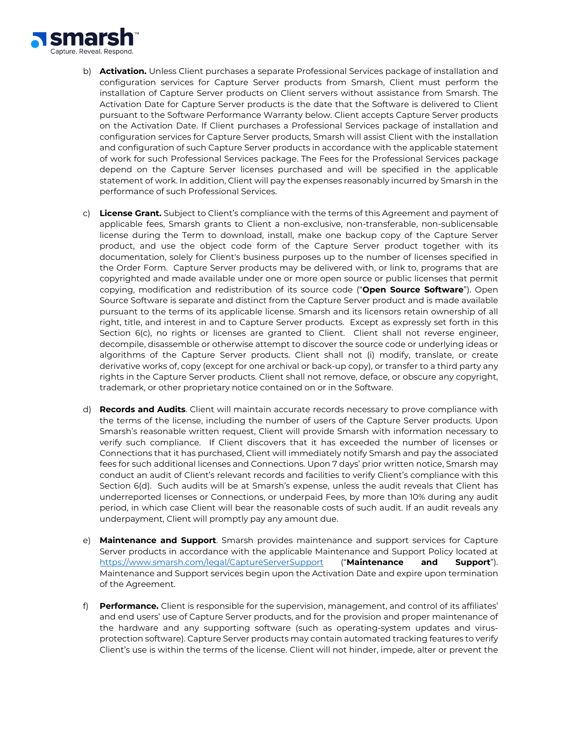

- b) **Activation.** Unless Client purchases a separate Professional Services package of installation and configuration services for Capture Server products from Smarsh, Client must perform the installation of Capture Server products on Client servers without assistance from Smarsh. The Activation Date for Capture Server products is the date that the Software is delivered to Client pursuant to the Software Performance Warranty below. Client accepts Capture Server products on the Activation Date. If Client purchases a Professional Services package of installation and configuration services for Capture Server products, Smarsh will assist Client with the installation and configuration of such Capture Server products in accordance with the applicable statement of work for such Professional Services package. The Fees for the Professional Services package depend on the Capture Server licenses purchased and will be specified in the applicable statement of work. In addition, Client will pay the expenses reasonably incurred by Smarsh in the performance of such Professional Services.
- c) **License Grant.** Subject to Client's compliance with the terms of this Agreement and payment of applicable fees, Smarsh grants to Client a non-exclusive, non-transferable, non-sublicensable license during the Term to download, install, make one backup copy of the Capture Server product, and use the object code form of the Capture Server product together with its documentation, solely for Client's business purposes up to the number of licenses specified in the Order Form. Capture Server products may be delivered with, or link to, programs that are copyrighted and made available under one or more open source or public licenses that permit copying, modification and redistribution of its source code ("**Open Source Software**"). Open Source Software is separate and distinct from the Capture Server product and is made available pursuant to the terms of its applicable license. Smarsh and its licensors retain ownership of all right, title, and interest in and to Capture Server products. Except as expressly set forth in this Section 6(c), no rights or licenses are granted to Client. Client shall not reverse engineer, decompile, disassemble or otherwise attempt to discover the source code or underlying ideas or algorithms of the Capture Server products. Client shall not (i) modify, translate, or create derivative works of, copy (except for one archival or back-up copy), or transfer to a third party any rights in the Capture Server products. Client shall not remove, deface, or obscure any copyright, trademark, or other proprietary notice contained on or in the Software.
- d) **Records and Audits**. Client will maintain accurate records necessary to prove compliance with the terms of the license, including the number of users of the Capture Server products. Upon Smarsh's reasonable written request, Client will provide Smarsh with information necessary to verify such compliance. If Client discovers that it has exceeded the number of licenses or Connections that it has purchased, Client will immediately notify Smarsh and pay the associated fees for such additional licenses and Connections. Upon 7 days' prior written notice, Smarsh may conduct an audit of Client's relevant records and facilities to verify Client's compliance with this Section 6(d). Such audits will be at Smarsh's expense, unless the audit reveals that Client has underreported licenses or Connections, or underpaid Fees, by more than 10% during any audit period, in which case Client will bear the reasonable costs of such audit. If an audit reveals any underpayment, Client will promptly pay any amount due.
- e) **Maintenance and Support**. Smarsh provides maintenance and support services for Capture Server products in accordance with the applicable Maintenance and Support Policy located at <https://www.smarsh.com/legal/CaptureServerSupport> ("**Maintenance and Support**"). Maintenance and Support services begin upon the Activation Date and expire upon termination of the Agreement.
- f) **Performance.** Client is responsible for the supervision, management, and control of its affiliates' and end users' use of Capture Server products, and for the provision and proper maintenance of the hardware and any supporting software (such as operating-system updates and virusprotection software). Capture Server products may contain automated tracking features to verify Client's use is within the terms of the license. Client will not hinder, impede, alter or prevent the